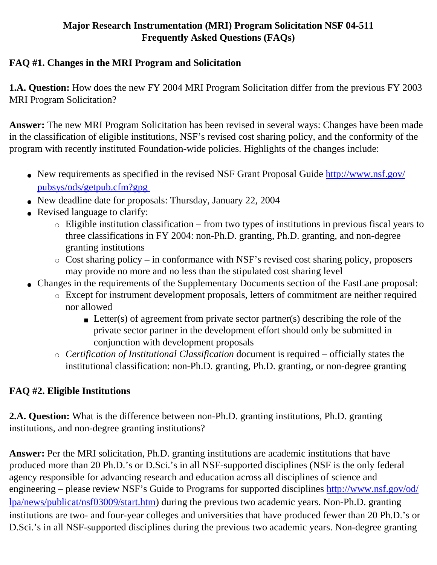#### **Major Research Instrumentation (MRI) Program Solicitation NSF 04-511 Frequently Asked Questions (FAQs)**

#### **FAQ #1. Changes in the MRI Program and Solicitation**

**1.A. Question:** How does the new FY 2004 MRI Program Solicitation differ from the previous FY 2003 MRI Program Solicitation?

**Answer:** The new MRI Program Solicitation has been revised in several ways: Changes have been made in the classification of eligible institutions, NSF's revised cost sharing policy, and the conformity of the program with recently instituted Foundation-wide policies. Highlights of the changes include:

- New requirements as specified in the revised NSF Grant Proposal Guide [http://www.nsf.gov/](http://www.nsf.gov/pubsys/ods/getpub.cfm?gpg) [pubsys/ods/getpub.cfm?gpg](http://www.nsf.gov/pubsys/ods/getpub.cfm?gpg)
- New deadline date for proposals: Thursday, January 22, 2004
- Revised language to clarify:
	- $\circ$  Eligible institution classification from two types of institutions in previous fiscal years to three classifications in FY 2004: non-Ph.D. granting, Ph.D. granting, and non-degree granting institutions
	- $\circ$  Cost sharing policy in conformance with NSF's revised cost sharing policy, proposers may provide no more and no less than the stipulated cost sharing level
- Changes in the requirements of the Supplementary Documents section of the FastLane proposal:
	- ❍ Except for instrument development proposals, letters of commitment are neither required nor allowed
		- **•** Letter(s) of agreement from private sector partner(s) describing the role of the private sector partner in the development effort should only be submitted in conjunction with development proposals
	- ❍ *Certification of Institutional Classification* document is required officially states the institutional classification: non-Ph.D. granting, Ph.D. granting, or non-degree granting

### **FAQ #2. Eligible Institutions**

**2.A. Question:** What is the difference between non-Ph.D. granting institutions, Ph.D. granting institutions, and non-degree granting institutions?

**Answer:** Per the MRI solicitation, Ph.D. granting institutions are academic institutions that have produced more than 20 Ph.D.'s or D.Sci.'s in all NSF-supported disciplines (NSF is the only federal agency responsible for advancing research and education across all disciplines of science and engineering – please review NSF's Guide to Programs for supported disciplines [http://www.nsf.gov/od/](http://www.nsf.gov/od/lpa/news/publicat/nsf03009/start.htm) [lpa/news/publicat/nsf03009/start.htm](http://www.nsf.gov/od/lpa/news/publicat/nsf03009/start.htm)) during the previous two academic years. Non-Ph.D. granting institutions are two- and four-year colleges and universities that have produced fewer than 20 Ph.D.'s or D.Sci.'s in all NSF-supported disciplines during the previous two academic years. Non-degree granting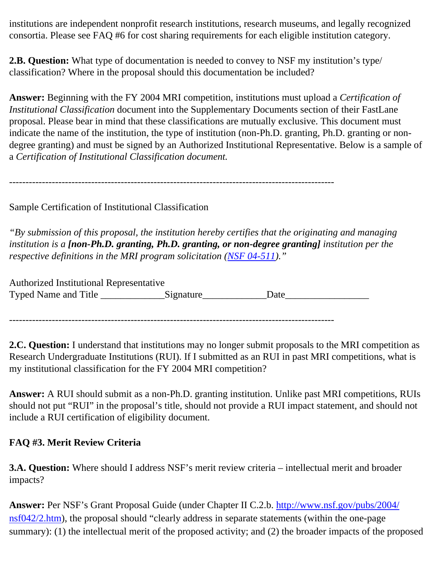institutions are independent nonprofit research institutions, research museums, and legally recognized consortia. Please see FAQ #6 for cost sharing requirements for each eligible institution category.

**2.B. Question:** What type of documentation is needed to convey to NSF my institution's type/ classification? Where in the proposal should this documentation be included?

**Answer:** Beginning with the FY 2004 MRI competition, institutions must upload a *Certification of Institutional Classification* document into the Supplementary Documents section of their FastLane proposal. Please bear in mind that these classifications are mutually exclusive. This document must indicate the name of the institution, the type of institution (non-Ph.D. granting, Ph.D. granting or nondegree granting) and must be signed by an Authorized Institutional Representative. Below is a sample of a *Certification of Institutional Classification document.*

---------------------------------------------------------------------------------------------------

Sample Certification of Institutional Classification

*"By submission of this proposal, the institution hereby certifies that the originating and managing institution is a [non-Ph.D. granting, Ph.D. granting, or non-degree granting] institution per the respective definitions in the MRI program solicitation ([NSF 04-511\)](http://www.nsf.gov/pubsys/ods/getpub.cfm?nsf04511)."*

Authorized Institutional Representative Typed Name and Title \_\_\_\_\_\_\_\_\_\_\_\_\_\_\_Signature\_\_\_\_\_\_\_\_\_\_\_\_\_\_\_Date\_\_\_\_\_\_\_\_\_\_\_\_\_\_\_\_

---------------------------------------------------------------------------------------------------

**2.C. Question:** I understand that institutions may no longer submit proposals to the MRI competition as Research Undergraduate Institutions (RUI). If I submitted as an RUI in past MRI competitions, what is my institutional classification for the FY 2004 MRI competition?

**Answer:** A RUI should submit as a non-Ph.D. granting institution. Unlike past MRI competitions, RUIs should not put "RUI" in the proposal's title, should not provide a RUI impact statement, and should not include a RUI certification of eligibility document.

#### **FAQ #3. Merit Review Criteria**

**3.A. Question:** Where should I address NSF's merit review criteria – intellectual merit and broader impacts?

**Answer:** Per NSF's Grant Proposal Guide (under Chapter II C.2.b. [http://www.nsf.gov/pubs/2004/](http://www.nsf.gov/pubs/2004/nsf042/2.htm) n[sf042/2.htm\),](http://www.nsf.gov/pubs/2004/nsf042/2.htm) the proposal should "clearly address in separate statements (within the one-page summary): (1) the intellectual merit of the proposed activity; and (2) the broader impacts of the proposed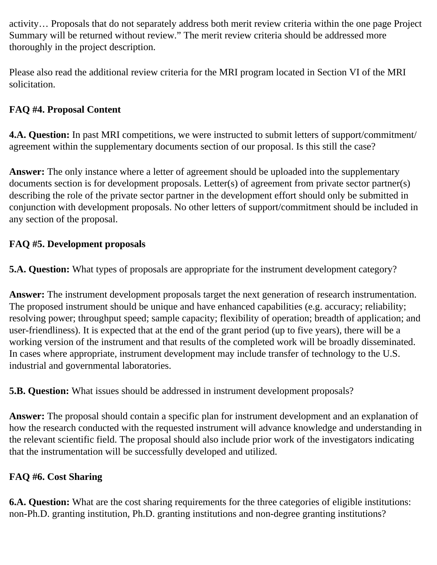activity… Proposals that do not separately address both merit review criteria within the one page Project Summary will be returned without review." The merit review criteria should be addressed more thoroughly in the project description.

Please also read the additional review criteria for the MRI program located in Section VI of the MRI solicitation.

### **FAQ #4. Proposal Content**

**4.A. Question:** In past MRI competitions, we were instructed to submit letters of support/commitment/ agreement within the supplementary documents section of our proposal. Is this still the case?

**Answer:** The only instance where a letter of agreement should be uploaded into the supplementary documents section is for development proposals. Letter(s) of agreement from private sector partner(s) describing the role of the private sector partner in the development effort should only be submitted in conjunction with development proposals. No other letters of support/commitment should be included in any section of the proposal.

# **FAQ #5. Development proposals**

**5.A. Question:** What types of proposals are appropriate for the instrument development category?

**Answer:** The instrument development proposals target the next generation of research instrumentation. The proposed instrument should be unique and have enhanced capabilities (e.g. accuracy; reliability; resolving power; throughput speed; sample capacity; flexibility of operation; breadth of application; and user-friendliness). It is expected that at the end of the grant period (up to five years), there will be a working version of the instrument and that results of the completed work will be broadly disseminated. In cases where appropriate, instrument development may include transfer of technology to the U.S. industrial and governmental laboratories.

**5.B. Question:** What issues should be addressed in instrument development proposals?

**Answer:** The proposal should contain a specific plan for instrument development and an explanation of how the research conducted with the requested instrument will advance knowledge and understanding in the relevant scientific field. The proposal should also include prior work of the investigators indicating that the instrumentation will be successfully developed and utilized.

# **FAQ #6. Cost Sharing**

**6.A. Question:** What are the cost sharing requirements for the three categories of eligible institutions: non-Ph.D. granting institution, Ph.D. granting institutions and non-degree granting institutions?